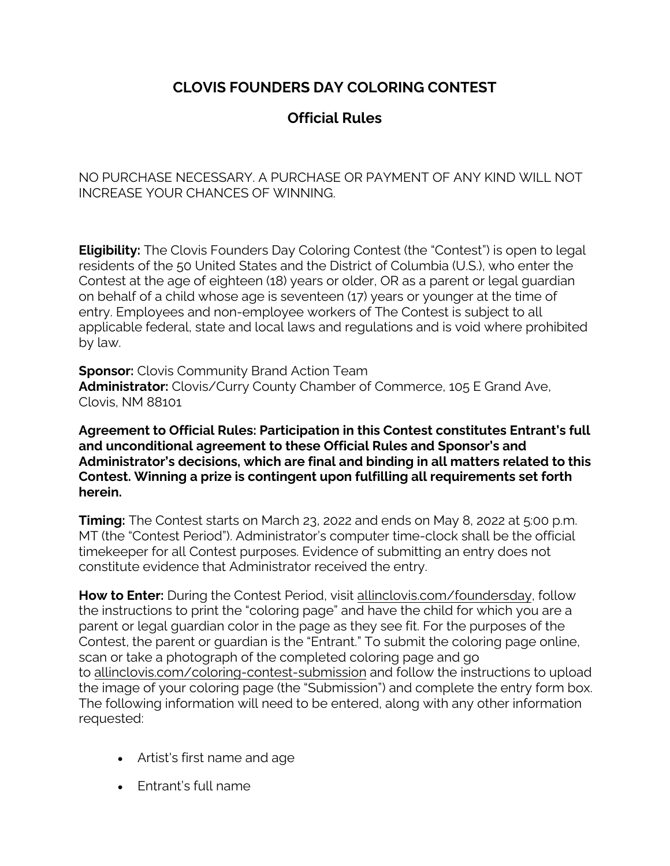## **CLOVIS FOUNDERS DAY COLORING CONTEST**

## **Official Rules**

NO PURCHASE NECESSARY. A PURCHASE OR PAYMENT OF ANY KIND WILL NOT INCREASE YOUR CHANCES OF WINNING.

**Eligibility:** The Clovis Founders Day Coloring Contest (the "Contest") is open to legal residents of the 50 United States and the District of Columbia (U.S.), who enter the Contest at the age of eighteen (18) years or older, OR as a parent or legal guardian on behalf of a child whose age is seventeen (17) years or younger at the time of entry. Employees and non-employee workers of The Contest is subject to all applicable federal, state and local laws and regulations and is void where prohibited by law.

**Sponsor:** Clovis Community Brand Action Team **Administrator:** Clovis/Curry County Chamber of Commerce, 105 E Grand Ave, Clovis, NM 88101

**Agreement to Official Rules: Participation in this Contest constitutes Entrant's full and unconditional agreement to these Official Rules and Sponsor's and Administrator's decisions, which are final and binding in all matters related to this Contest. Winning a prize is contingent upon fulfilling all requirements set forth herein.**

**Timing:** The Contest starts on March 23, 2022 and ends on May 8, 2022 at 5:00 p.m. MT (the "Contest Period"). Administrator's computer time-clock shall be the official timekeeper for all Contest purposes. Evidence of submitting an entry does not constitute evidence that Administrator received the entry.

**How to Enter:** During the Contest Period, visit allinclovis.com/foundersday, follow the instructions to print the "coloring page" and have the child for which you are a parent or legal guardian color in the page as they see fit. For the purposes of the Contest, the parent or guardian is the "Entrant." To submit the coloring page online, scan or take a photograph of the completed coloring page and go to allinclovis.com/coloring-contest-submission and follow the instructions to upload the image of your coloring page (the "Submission") and complete the entry form box. The following information will need to be entered, along with any other information requested:

- Artist's first name and age
- Entrant's full name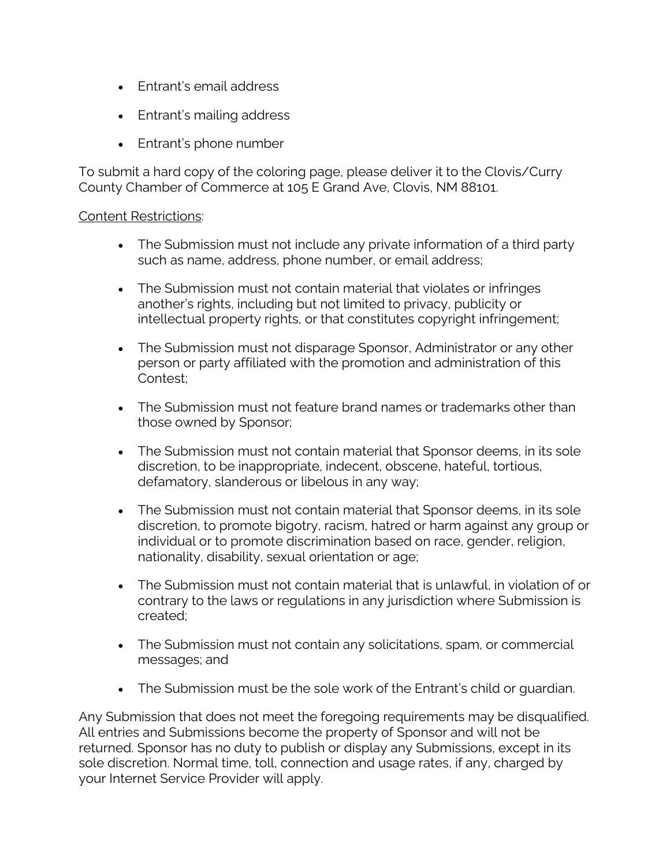- Entrant's email address
- Entrant's mailing address
- Entrant's phone number

To submit a hard copy of the coloring page, please deliver it to the Clovis/Curry County Chamber of Commerce at 105 E Grand Ave, Clovis, NM 88101.

## Content Restrictions:

- The Submission must not include any private information of a third party such as name, address, phone number, or email address;
- The Submission must not contain material that violates or infringes another's rights, including but not limited to privacy, publicity or intellectual property rights, or that constitutes copyright infringement;
- The Submission must not disparage Sponsor, Administrator or any other person or party affiliated with the promotion and administration of this Contest;
- The Submission must not feature brand names or trademarks other than those owned by Sponsor;
- The Submission must not contain material that Sponsor deems, in its sole discretion, to be inappropriate, indecent, obscene, hateful, tortious, defamatory, slanderous or libelous in any way;
- The Submission must not contain material that Sponsor deems, in its sole discretion, to promote bigotry, racism, hatred or harm against any group or individual or to promote discrimination based on race, gender, religion, nationality, disability, sexual orientation or age;
- The Submission must not contain material that is unlawful, in violation of or contrary to the laws or regulations in any jurisdiction where Submission is created;
- The Submission must not contain any solicitations, spam, or commercial messages; and
- The Submission must be the sole work of the Entrant's child or guardian.

Any Submission that does not meet the foregoing requirements may be disqualified. All entries and Submissions become the property of Sponsor and will not be returned. Sponsor has no duty to publish or display any Submissions, except in its sole discretion. Normal time, toll, connection and usage rates, if any, charged by your Internet Service Provider will apply.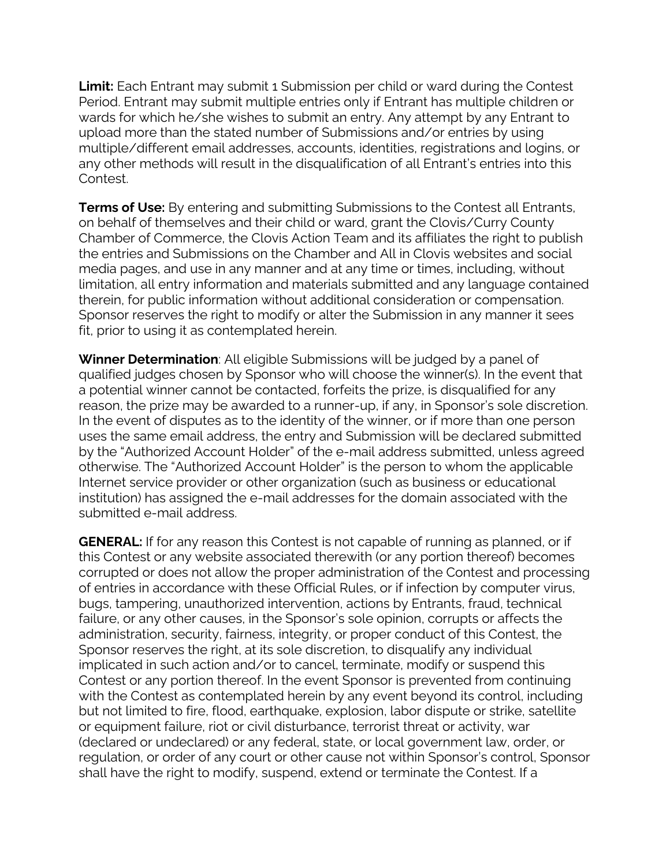**Limit:** Each Entrant may submit 1 Submission per child or ward during the Contest Period. Entrant may submit multiple entries only if Entrant has multiple children or wards for which he/she wishes to submit an entry. Any attempt by any Entrant to upload more than the stated number of Submissions and/or entries by using multiple/different email addresses, accounts, identities, registrations and logins, or any other methods will result in the disqualification of all Entrant's entries into this Contest.

**Terms of Use:** By entering and submitting Submissions to the Contest all Entrants, on behalf of themselves and their child or ward, grant the Clovis/Curry County Chamber of Commerce, the Clovis Action Team and its affiliates the right to publish the entries and Submissions on the Chamber and All in Clovis websites and social media pages, and use in any manner and at any time or times, including, without limitation, all entry information and materials submitted and any language contained therein, for public information without additional consideration or compensation. Sponsor reserves the right to modify or alter the Submission in any manner it sees fit, prior to using it as contemplated herein.

**Winner Determination**: All eligible Submissions will be judged by a panel of qualified judges chosen by Sponsor who will choose the winner(s). In the event that a potential winner cannot be contacted, forfeits the prize, is disqualified for any reason, the prize may be awarded to a runner-up, if any, in Sponsor's sole discretion. In the event of disputes as to the identity of the winner, or if more than one person uses the same email address, the entry and Submission will be declared submitted by the "Authorized Account Holder" of the e-mail address submitted, unless agreed otherwise. The "Authorized Account Holder" is the person to whom the applicable Internet service provider or other organization (such as business or educational institution) has assigned the e-mail addresses for the domain associated with the submitted e-mail address.

**GENERAL:** If for any reason this Contest is not capable of running as planned, or if this Contest or any website associated therewith (or any portion thereof) becomes corrupted or does not allow the proper administration of the Contest and processing of entries in accordance with these Official Rules, or if infection by computer virus, bugs, tampering, unauthorized intervention, actions by Entrants, fraud, technical failure, or any other causes, in the Sponsor's sole opinion, corrupts or affects the administration, security, fairness, integrity, or proper conduct of this Contest, the Sponsor reserves the right, at its sole discretion, to disqualify any individual implicated in such action and/or to cancel, terminate, modify or suspend this Contest or any portion thereof. In the event Sponsor is prevented from continuing with the Contest as contemplated herein by any event beyond its control, including but not limited to fire, flood, earthquake, explosion, labor dispute or strike, satellite or equipment failure, riot or civil disturbance, terrorist threat or activity, war (declared or undeclared) or any federal, state, or local government law, order, or regulation, or order of any court or other cause not within Sponsor's control, Sponsor shall have the right to modify, suspend, extend or terminate the Contest. If a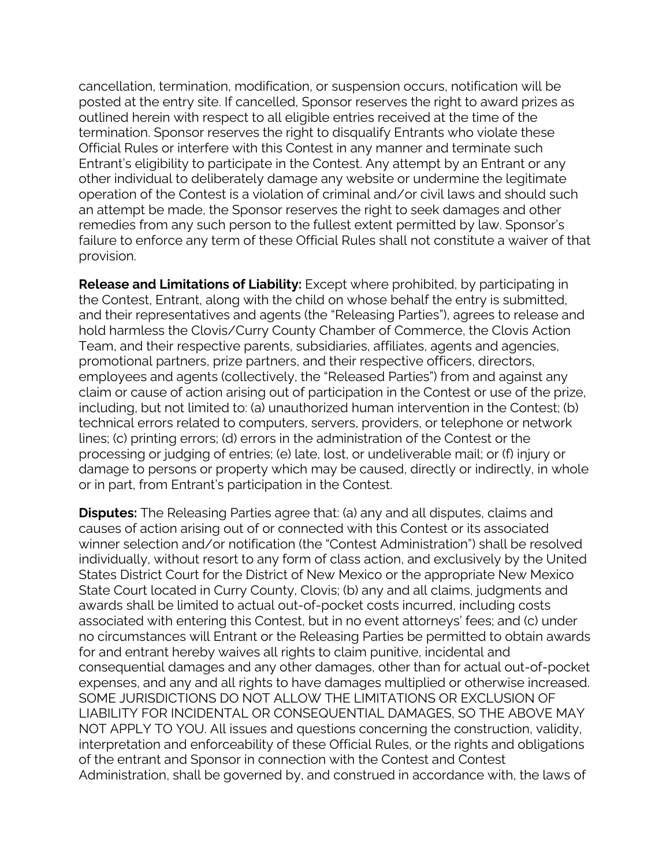cancellation, termination, modification, or suspension occurs, notification will be posted at the entry site. If cancelled, Sponsor reserves the right to award prizes as outlined herein with respect to all eligible entries received at the time of the termination. Sponsor reserves the right to disqualify Entrants who violate these Official Rules or interfere with this Contest in any manner and terminate such Entrant's eligibility to participate in the Contest. Any attempt by an Entrant or any other individual to deliberately damage any website or undermine the legitimate operation of the Contest is a violation of criminal and/or civil laws and should such an attempt be made, the Sponsor reserves the right to seek damages and other remedies from any such person to the fullest extent permitted by law. Sponsor's failure to enforce any term of these Official Rules shall not constitute a waiver of that provision.

**Release and Limitations of Liability:** Except where prohibited, by participating in the Contest, Entrant, along with the child on whose behalf the entry is submitted, and their representatives and agents (the "Releasing Parties"), agrees to release and hold harmless the Clovis/Curry County Chamber of Commerce, the Clovis Action Team, and their respective parents, subsidiaries, affiliates, agents and agencies, promotional partners, prize partners, and their respective officers, directors, employees and agents (collectively, the "Released Parties") from and against any claim or cause of action arising out of participation in the Contest or use of the prize, including, but not limited to: (a) unauthorized human intervention in the Contest; (b) technical errors related to computers, servers, providers, or telephone or network lines; (c) printing errors; (d) errors in the administration of the Contest or the processing or judging of entries; (e) late, lost, or undeliverable mail; or (f) injury or damage to persons or property which may be caused, directly or indirectly, in whole or in part, from Entrant's participation in the Contest.

**Disputes:** The Releasing Parties agree that: (a) any and all disputes, claims and causes of action arising out of or connected with this Contest or its associated winner selection and/or notification (the "Contest Administration") shall be resolved individually, without resort to any form of class action, and exclusively by the United States District Court for the District of New Mexico or the appropriate New Mexico State Court located in Curry County, Clovis; (b) any and all claims, judgments and awards shall be limited to actual out-of-pocket costs incurred, including costs associated with entering this Contest, but in no event attorneys' fees; and (c) under no circumstances will Entrant or the Releasing Parties be permitted to obtain awards for and entrant hereby waives all rights to claim punitive, incidental and consequential damages and any other damages, other than for actual out-of-pocket expenses, and any and all rights to have damages multiplied or otherwise increased. SOME JURISDICTIONS DO NOT ALLOW THE LIMITATIONS OR EXCLUSION OF LIABILITY FOR INCIDENTAL OR CONSEQUENTIAL DAMAGES, SO THE ABOVE MAY NOT APPLY TO YOU. All issues and questions concerning the construction, validity, interpretation and enforceability of these Official Rules, or the rights and obligations of the entrant and Sponsor in connection with the Contest and Contest Administration, shall be governed by, and construed in accordance with, the laws of